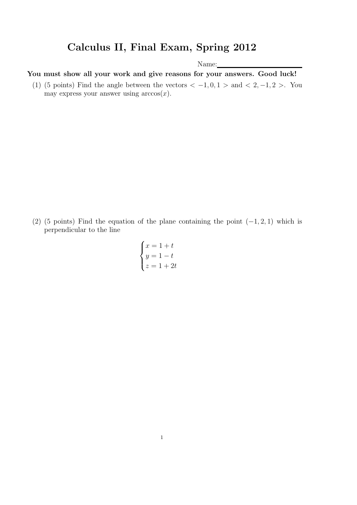## Calculus II, Final Exam, Spring 2012

Name:

You must show all your work and give reasons for your answers. Good luck!

(1) (5 points) Find the angle between the vectors  $<-1,0,1>$  and  $< 2,-1,2>$ . You may express your answer using  $arccos(x)$ .

(2) (5 points) Find the equation of the plane containing the point  $(-1, 2, 1)$  which is perpendicular to the line

$$
\begin{cases}\nx = 1 + t \\
y = 1 - t \\
z = 1 + 2t\n\end{cases}
$$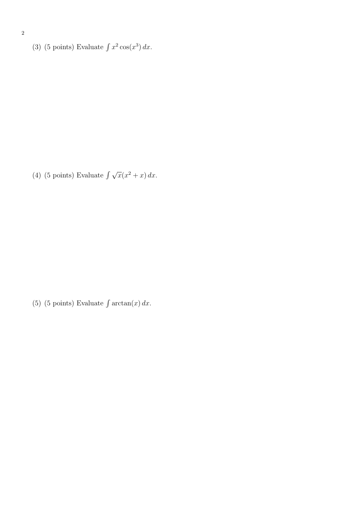(3) (5 points) Evaluate  $\int x^2 \cos(x^3) dx$ .

(4) (5 points) Evaluate  $\int \sqrt{x(x^2 + x)} dx$ .

(5) (5 points) Evaluate  $\int \arctan(x) dx$ .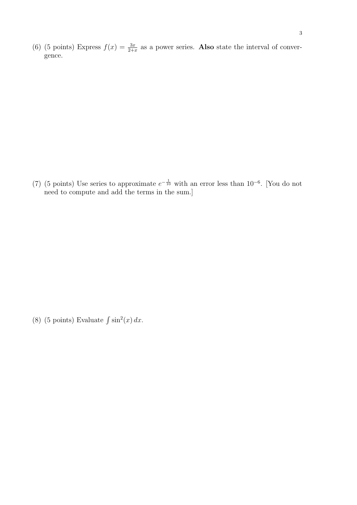(6) (5 points) Express  $f(x) = \frac{3x}{2+x}$  as a power series. Also state the interval of convergence.

(7) (5 points) Use series to approximate  $e^{-\frac{1}{10}}$  with an error less than 10<sup>-6</sup>. [You do not need to compute and add the terms in the sum.]

(8) (5 points) Evaluate  $\int \sin^2(x) dx$ .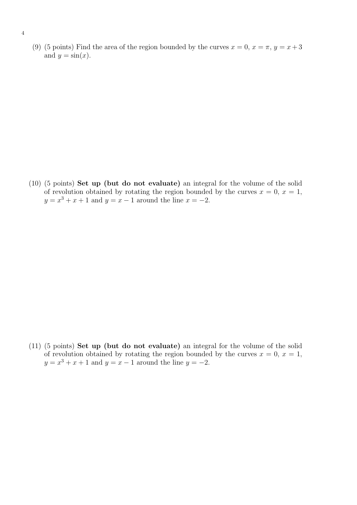(9) (5 points) Find the area of the region bounded by the curves  $x = 0, x = \pi, y = x + 3$ and  $y = \sin(x)$ .

(10) (5 points) Set up (but do not evaluate) an integral for the volume of the solid of revolution obtained by rotating the region bounded by the curves  $x = 0, x = 1$ ,  $y = x^3 + x + 1$  and  $y = x - 1$  around the line  $x = -2$ .

(11) (5 points) Set up (but do not evaluate) an integral for the volume of the solid of revolution obtained by rotating the region bounded by the curves  $x = 0, x = 1$ ,  $y = x^3 + x + 1$  and  $y = x - 1$  around the line  $y = -2$ .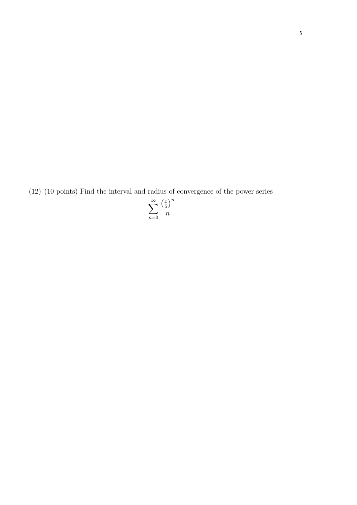(12) (10 points) Find the interval and radius of convergence of the power series

$$
\sum_{n=0}^{\infty} \frac{\left(\frac{x}{5}\right)^n}{n}
$$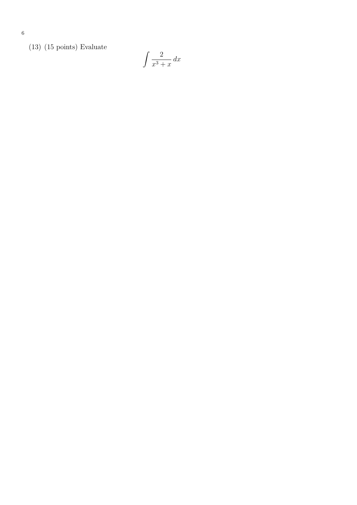(13) (15 points) Evaluate

$$
\int \frac{2}{x^3 + x} \, dx
$$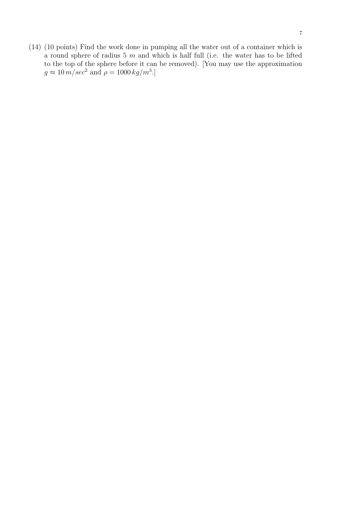(14) (10 points) Find the work done in pumping all the water out of a container which is a round sphere of radius 5  $m$  and which is half full (i.e. the water has to be lifted to the top of the sphere before it can be removed). [You may use the approximation  $g \approx 10 \, m/sec^2$  and  $\rho = 1000 \, kg/m^3$ .